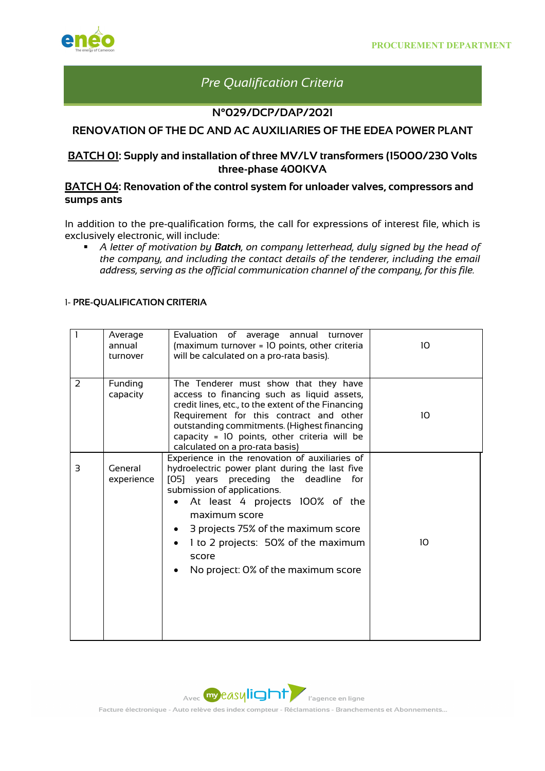

# *Pre Qualification Criteria*

#### **N°029/DCP/DAP/2021**

## **RENOVATION OF THE DC AND AC AUXILIARIES OF THE EDEA POWER PLANT**

### **BATCH 01: Supply and installation of three MV/LV transformers (15000/230 Volts three-phase 400KVA**

#### **BATCH 04: Renovation of the control system for unloader valves, compressors and sumps ants**

In addition to the pre-qualification forms, the call for expressions of interest file, which is exclusively electronic, will include:

§ *A letter of motivation by Batch, on company letterhead, duly signed by the head of the company, and including the contact details of the tenderer, including the email address, serving as the official communication channel of the company, for this file.* 

#### 1- **PRE-QUALIFICATION CRITERIA**

|   | Average<br>annual<br>turnover | Evaluation of average annual turnover<br>(maximum turnover = 10 points, other criteria<br>will be calculated on a pro-rata basis).                                                                                                                                                                                                                            | 10 <sup>2</sup> |
|---|-------------------------------|---------------------------------------------------------------------------------------------------------------------------------------------------------------------------------------------------------------------------------------------------------------------------------------------------------------------------------------------------------------|-----------------|
| 2 | Funding<br>capacity           | The Tenderer must show that they have<br>access to financing such as liquid assets,<br>credit lines, etc., to the extent of the Financing<br>Requirement for this contract and other<br>outstanding commitments. (Highest financing<br>capacity = 10 points, other criteria will be<br>calculated on a pro-rata basis)                                        | 10 <sup>°</sup> |
| 3 | General<br>experience         | Experience in the renovation of auxiliaries of<br>hydroelectric power plant during the last five<br>[O5] years preceding the deadline<br>for<br>submission of applications.<br>At least 4 projects 100% of the<br>maximum score<br>3 projects 75% of the maximum score<br>1 to 2 projects: 50% of the maximum<br>score<br>No project: 0% of the maximum score | 10              |